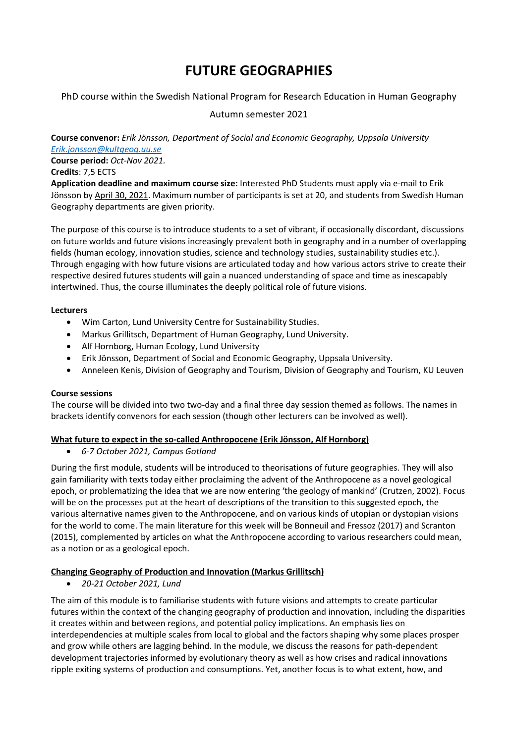# **FUTURE GEOGRAPHIES**

PhD course within the Swedish National Program for Research Education in Human Geography

## Autumn semester 2021

**Course convenor:** *Erik Jönsson, Department of Social and Economic Geography, Uppsala University [Erik.jonsson@kultgeog.uu.se](mailto:Erik.jonsson@kultgeog.uu.se)*

**Course period:** *Oct-Nov 2021.*

**Credits**: 7,5 ECTS

**Application deadline and maximum course size:** Interested PhD Students must apply via e-mail to Erik Jönsson by April 30, 2021. Maximum number of participants is set at 20, and students from Swedish Human Geography departments are given priority.

The purpose of this course is to introduce students to a set of vibrant, if occasionally discordant, discussions on future worlds and future visions increasingly prevalent both in geography and in a number of overlapping fields (human ecology, innovation studies, science and technology studies, sustainability studies etc.). Through engaging with how future visions are articulated today and how various actors strive to create their respective desired futures students will gain a nuanced understanding of space and time as inescapably intertwined. Thus, the course illuminates the deeply political role of future visions.

#### **Lecturers**

- Wim Carton, Lund University Centre for Sustainability Studies.
- Markus Grillitsch, Department of Human Geography, Lund University.
- Alf Hornborg, Human Ecology, Lund University
- Erik Jönsson, Department of Social and Economic Geography, Uppsala University.
- Anneleen Kenis, Division of Geography and Tourism, Division of Geography and Tourism, KU Leuven

#### **Course sessions**

The course will be divided into two two-day and a final three day session themed as follows. The names in brackets identify convenors for each session (though other lecturers can be involved as well).

#### **What future to expect in the so-called Anthropocene (Erik Jönsson, Alf Hornborg)**

• *6-7 October 2021, Campus Gotland*

During the first module, students will be introduced to theorisations of future geographies. They will also gain familiarity with texts today either proclaiming the advent of the Anthropocene as a novel geological epoch, or problematizing the idea that we are now entering 'the geology of mankind' (Crutzen, 2002). Focus will be on the processes put at the heart of descriptions of the transition to this suggested epoch, the various alternative names given to the Anthropocene, and on various kinds of utopian or dystopian visions for the world to come. The main literature for this week will be Bonneuil and Fressoz (2017) and Scranton (2015), complemented by articles on what the Anthropocene according to various researchers could mean, as a notion or as a geological epoch.

#### **Changing Geography of Production and Innovation (Markus Grillitsch)**

• *20-21 October 2021, Lund*

The aim of this module is to familiarise students with future visions and attempts to create particular futures within the context of the changing geography of production and innovation, including the disparities it creates within and between regions, and potential policy implications. An emphasis lies on interdependencies at multiple scales from local to global and the factors shaping why some places prosper and grow while others are lagging behind. In the module, we discuss the reasons for path-dependent development trajectories informed by evolutionary theory as well as how crises and radical innovations ripple exiting systems of production and consumptions. Yet, another focus is to what extent, how, and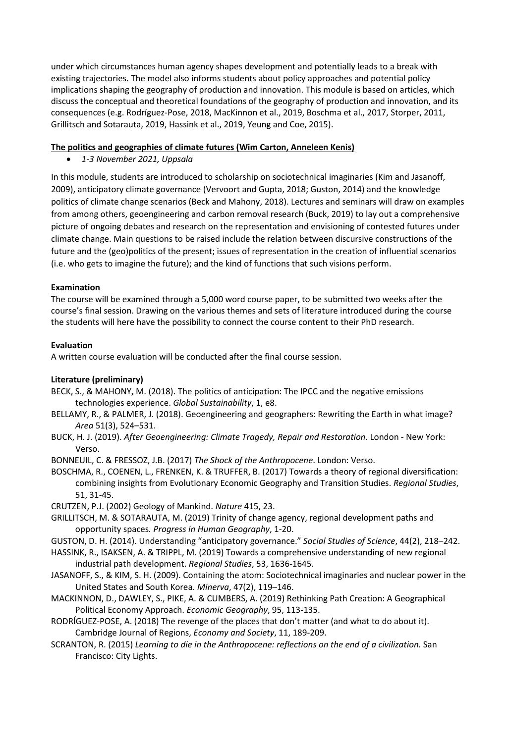under which circumstances human agency shapes development and potentially leads to a break with existing trajectories. The model also informs students about policy approaches and potential policy implications shaping the geography of production and innovation. This module is based on articles, which discuss the conceptual and theoretical foundations of the geography of production and innovation, and its consequences (e.g. Rodríguez-Pose, 2018, MacKinnon et al., 2019, Boschma et al., 2017, Storper, 2011, Grillitsch and Sotarauta, 2019, Hassink et al., 2019, Yeung and Coe, 2015).

### **The politics and geographies of climate futures (Wim Carton, Anneleen Kenis)**

• *1-3 November 2021, Uppsala*

In this module, students are introduced to scholarship on sociotechnical imaginaries (Kim and Jasanoff, 2009), anticipatory climate governance (Vervoort and Gupta, 2018; Guston, 2014) and the knowledge politics of climate change scenarios (Beck and Mahony, 2018). Lectures and seminars will draw on examples from among others, geoengineering and carbon removal research (Buck, 2019) to lay out a comprehensive picture of ongoing debates and research on the representation and envisioning of contested futures under climate change. Main questions to be raised include the relation between discursive constructions of the future and the (geo)politics of the present; issues of representation in the creation of influential scenarios (i.e. who gets to imagine the future); and the kind of functions that such visions perform.

## **Examination**

The course will be examined through a 5,000 word course paper, to be submitted two weeks after the course's final session. Drawing on the various themes and sets of literature introduced during the course the students will here have the possibility to connect the course content to their PhD research.

#### **Evaluation**

A written course evaluation will be conducted after the final course session.

# **Literature (preliminary)**

- BECK, S., & MAHONY, M. (2018). The politics of anticipation: The IPCC and the negative emissions technologies experience. *Global Sustainability*, 1, e8.
- BELLAMY, R., & PALMER, J. (2018). Geoengineering and geographers: Rewriting the Earth in what image? *Area* 51(3), 524–531.
- BUCK, H. J. (2019). *After Geoengineering: Climate Tragedy, Repair and Restoration*. London New York: Verso.

BONNEUIL, C. & FRESSOZ, J.B. (2017) *The Shock of the Anthropocene*. London: Verso.

BOSCHMA, R., COENEN, L., FRENKEN, K. & TRUFFER, B. (2017) Towards a theory of regional diversification: combining insights from Evolutionary Economic Geography and Transition Studies. *Regional Studies*, 51, 31-45.

CRUTZEN, P.J. (2002) Geology of Mankind. *Nature* 415, 23.

GRILLITSCH, M. & SOTARAUTA, M. (2019) Trinity of change agency, regional development paths and opportunity spaces*. Progress in Human Geography*, 1-20.

- GUSTON, D. H. (2014). Understanding "anticipatory governance." *Social Studies of Science*, 44(2), 218–242.
- HASSINK, R., ISAKSEN, A. & TRIPPL, M. (2019) Towards a comprehensive understanding of new regional industrial path development. *Regional Studies*, 53, 1636-1645.
- JASANOFF, S., & KIM, S. H. (2009). Containing the atom: Sociotechnical imaginaries and nuclear power in the United States and South Korea. *Minerva*, 47(2), 119–146.
- MACKINNON, D., DAWLEY, S., PIKE, A. & CUMBERS, A. (2019) Rethinking Path Creation: A Geographical Political Economy Approach. *Economic Geography*, 95, 113-135.
- RODRÍGUEZ-POSE, A. (2018) The revenge of the places that don't matter (and what to do about it). Cambridge Journal of Regions, *Economy and Society*, 11, 189-209.
- SCRANTON, R. (2015) *Learning to die in the Anthropocene: reflections on the end of a civilization.* San Francisco: City Lights.